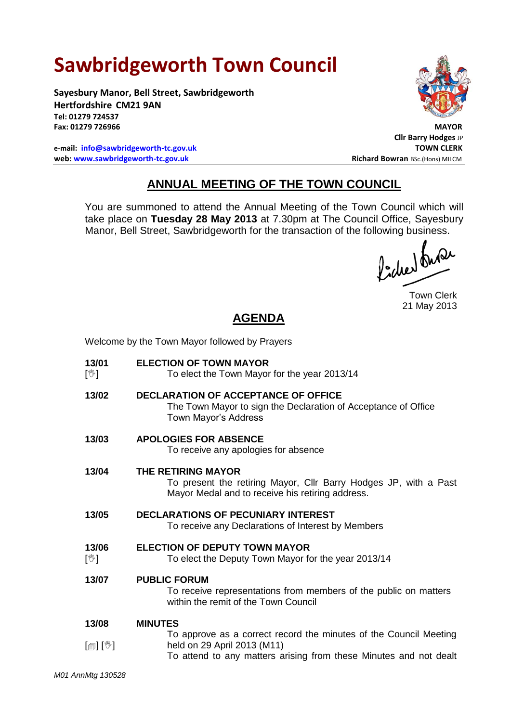# **Sawbridgeworth Town Council**

**Sayesbury Manor, Bell Street, Sawbridgeworth Hertfordshire CM21 9AN Tel: 01279 724537 Fax: 01279 726966 MAYOR**

**e-mail: [info@sawbridgeworth-tc.gov.uk](mailto:info@sawbridgeworth-tc.gov.uk) TOWN CLERK web: www.sawbridgeworth-tc.gov.uk Richard Bowran BSc.(Hons) MILCM Richard Bowran BSc.(Hons) MILCM** 



**Cllr Barry Hodges** JP

# **ANNUAL MEETING OF THE TOWN COUNCIL**

You are summoned to attend the Annual Meeting of the Town Council which will take place on **Tuesday 28 May 2013** at 7.30pm at The Council Office, Sayesbury Manor, Bell Street, Sawbridgeworth for the transaction of the following business.

fidee buse

Town Clerk 21 May 2013

# **AGENDA**

Welcome by the Town Mayor followed by Prayers

**13/01**  $\mathbb{N}$ **ELECTION OF TOWN MAYOR** To elect the Town Mayor for the year 2013/14 **13/02 DECLARATION OF ACCEPTANCE OF OFFICE** The Town Mayor to sign the Declaration of Acceptance of Office Town Mayor's Address **13/03 APOLOGIES FOR ABSENCE** To receive any apologies for absence **13/04 THE RETIRING MAYOR** To present the retiring Mayor, Cllr Barry Hodges JP, with a Past Mayor Medal and to receive his retiring address. **13/05 DECLARATIONS OF PECUNIARY INTEREST** To receive any Declarations of Interest by Members **13/06**  $\mathbb{N}$ **ELECTION OF DEPUTY TOWN MAYOR** To elect the Deputy Town Mayor for the year 2013/14 **13/07 PUBLIC FORUM** To receive representations from members of the public on matters within the remit of the Town Council **13/08** [@] [<sup>w</sup>] **MINUTES** To approve as a correct record the minutes of the Council Meeting held on 29 April 2013 (M11) To attend to any matters arising from these Minutes and not dealt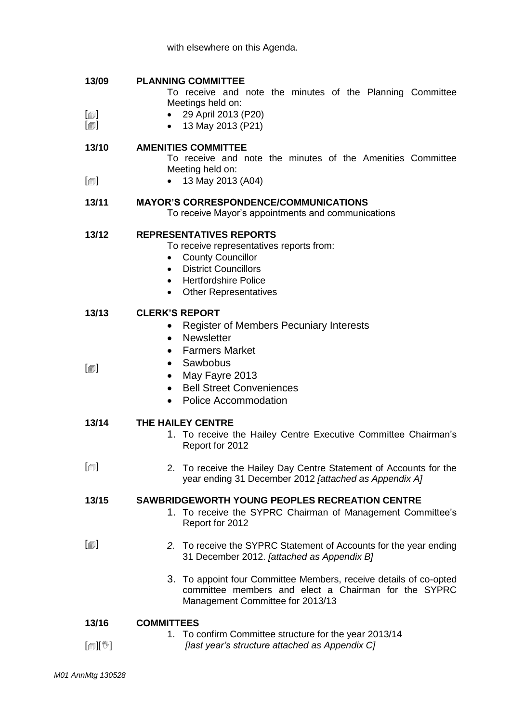| 13/09 |  | <b>PLANNING COMMITTEE</b> |
|-------|--|---------------------------|
|-------|--|---------------------------|

To receive and note the minutes of the Planning Committee Meetings held on:

- $\lceil$  $\blacksquare$  29 April 2013 (P20)
	- 13 May 2013 (P21)

#### **13/10 AMENITIES COMMITTEE**

 $\lceil$  $\blacksquare$ 

 $\lceil$  $\blacksquare$ 

 $\lceil$ 

To receive and note the minutes of the Amenities Committee Meeting held on:

• 13 May 2013 (A04)

## **13/11 MAYOR'S CORRESPONDENCE/COMMUNICATIONS**

To receive Mayor's appointments and communications

### **13/12 REPRESENTATIVES REPORTS**

To receive representatives reports from:

- County Councillor
- District Councillors
- Hertfordshire Police
- Other Representatives

#### **13/13 CLERK'S REPORT**

- Register of Members Pecuniary Interests
- Newsletter
- Farmers Market
- Sawbobus
	- May Fayre 2013
	- Bell Street Conveniences
	- Police Accommodation

#### **13/14 THE HAILEY CENTRE**

- 1. To receive the Hailey Centre Executive Committee Chairman's Report for 2012
- $\Box$ 2. To receive the Hailey Day Centre Statement of Accounts for the year ending 31 December 2012 *[attached as Appendix A]*

#### **13/15 SAWBRIDGEWORTH YOUNG PEOPLES RECREATION CENTRE**

1. To receive the SYPRC Chairman of Management Committee's Report for 2012

#### $\lceil$ *2.* To receive the SYPRC Statement of Accounts for the year ending 31 December 2012. *[attached as Appendix B]*

3. To appoint four Committee Members, receive details of co-opted committee members and elect a Chairman for the SYPRC Management Committee for 2013/13

#### **13/16 COMMITTEES**

|                            | 1. To confirm Committee structure for the year 2013/14 |
|----------------------------|--------------------------------------------------------|
| $[\mathbb{R}][\mathbb{C}]$ | [last year's structure attached as Appendix C]         |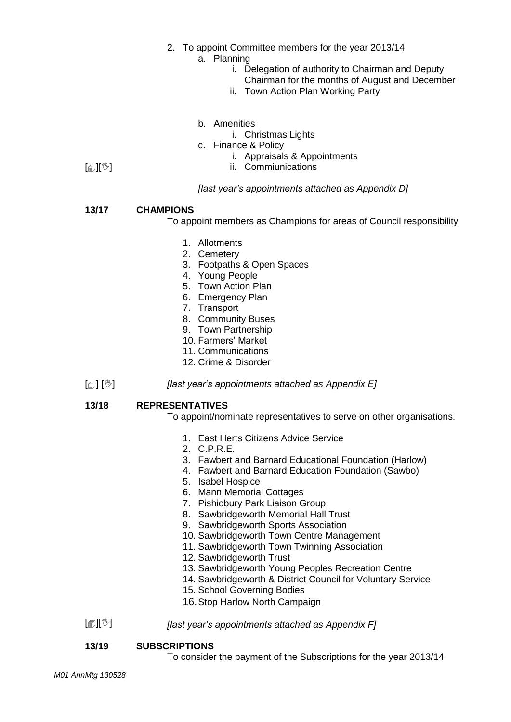- 2. To appoint Committee members for the year 2013/14
	- a. Planning
		- i. Delegation of authority to Chairman and Deputy
			- Chairman for the months of August and December
		- ii. Town Action Plan Working Party
	- b. Amenities
		- i. Christmas Lights
	- c. Finance & Policy
		- i. Appraisals & Appointments
		- ii. Commiunications

## *[last year's appointments attached as Appendix D]*

#### **13/17 CHAMPIONS**

 $[\mathbb{D}][\mathbb{C}]$ 

- To appoint members as Champions for areas of Council responsibility
	- 1. Allotments
	- 2. Cemetery
	- 3. Footpaths & Open Spaces
	- 4. Young People
	- 5. Town Action Plan
	- 6. Emergency Plan
	- 7. Transport
	- 8. Community Buses
	- 9. Town Partnership
	- 10. Farmers' Market
	- 11. Communications
	- 12. Crime & Disorder
- $\mathbb{E} \left[ \mathbb{E} \right]$ *[last year's appointments attached as Appendix E]*

#### **13/18 REPRESENTATIVES**

- To appoint/nominate representatives to serve on other organisations.
	- 1. East Herts Citizens Advice Service
	- 2. C.P.R.E.
	- 3. Fawbert and Barnard Educational Foundation (Harlow)
	- 4. Fawbert and Barnard Education Foundation (Sawbo)
	- 5. Isabel Hospice
	- 6. Mann Memorial Cottages
	- 7. Pishiobury Park Liaison Group
	- 8. Sawbridgeworth Memorial Hall Trust
	- 9. Sawbridgeworth Sports Association
	- 10. Sawbridgeworth Town Centre Management
	- 11. Sawbridgeworth Town Twinning Association
	- 12. Sawbridgeworth Trust
	- 13. Sawbridgeworth Young Peoples Recreation Centre
	- 14. Sawbridgeworth & District Council for Voluntary Service
	- 15. School Governing Bodies
	- 16.Stop Harlow North Campaign
- $[\mathbb{D}][\mathbb{C}]$ *[last year's appointments attached as Appendix F]*

## **13/19 SUBSCRIPTIONS**

To consider the payment of the Subscriptions for the year 2013/14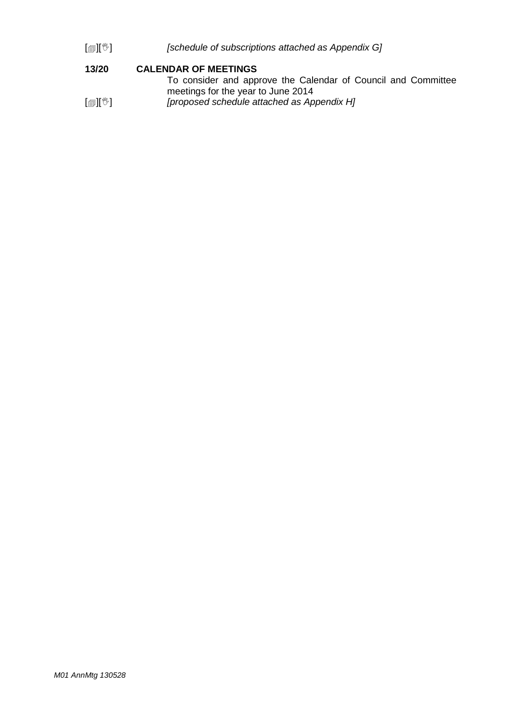[][] *[schedule of subscriptions attached as Appendix G]*

#### **13/20 CALENDAR OF MEETINGS**

|                     | To consider and approve the Calendar of Council and Committee |  |  |  |  |
|---------------------|---------------------------------------------------------------|--|--|--|--|
|                     | meetings for the year to June 2014                            |  |  |  |  |
| [@][ <sup>w</sup> ] | [proposed schedule attached as Appendix H]                    |  |  |  |  |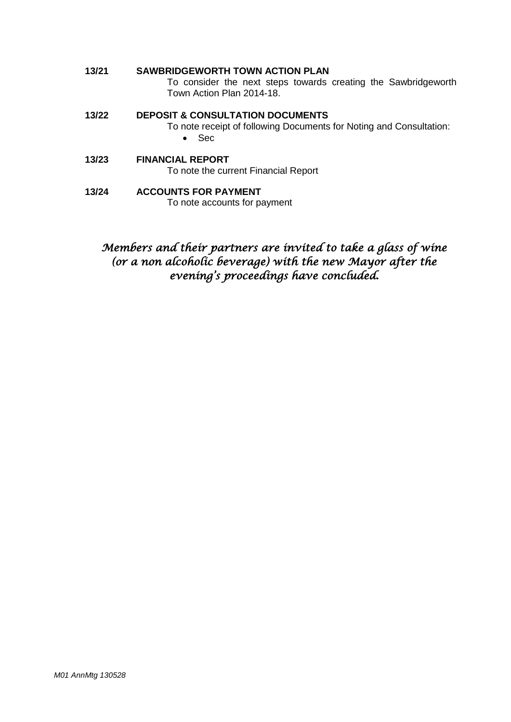### **13/21 SAWBRIDGEWORTH TOWN ACTION PLAN** To consider the next steps towards creating the Sawbridgeworth

Town Action Plan 2014-18.

## **13/22 DEPOSIT & CONSULTATION DOCUMENTS**

To note receipt of following Documents for Noting and Consultation: • Sec

## **13/23 FINANCIAL REPORT**

To note the current Financial Report

#### **13/24 ACCOUNTS FOR PAYMENT** To note accounts for payment

## *Members and their partners are invited to take a glass of wine (or a non alcoholic beverage) with the new Mayor after the evening's proceedings have concluded.*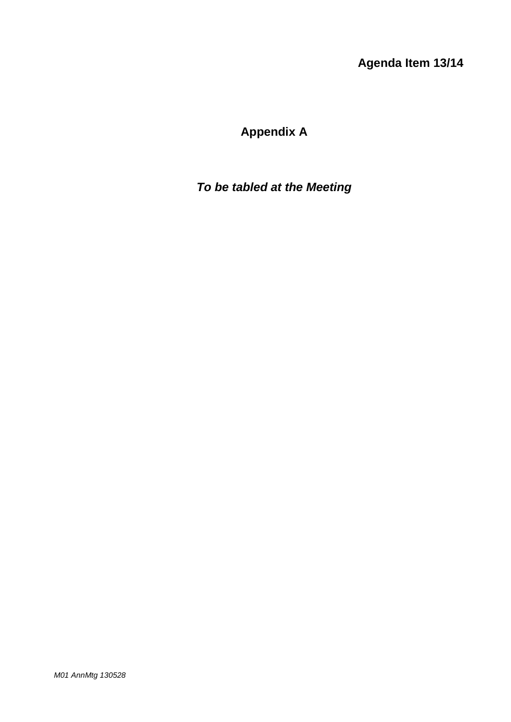**Agenda Item 13/14**

# **Appendix A**

# *To be tabled at the Meeting*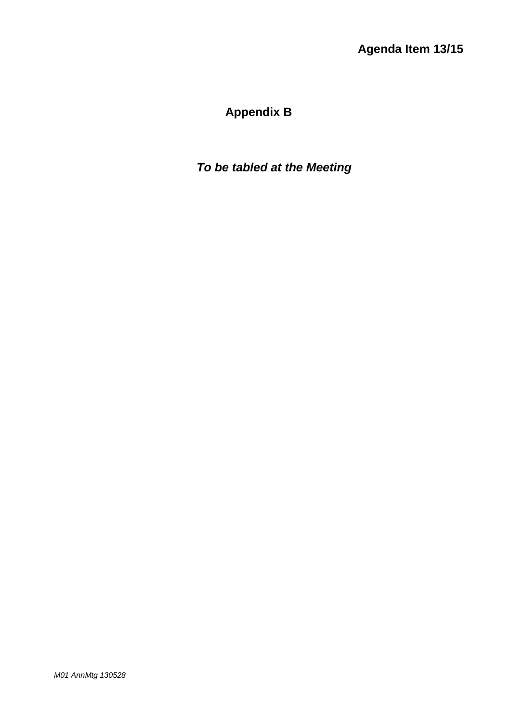# **Appendix B**

*To be tabled at the Meeting*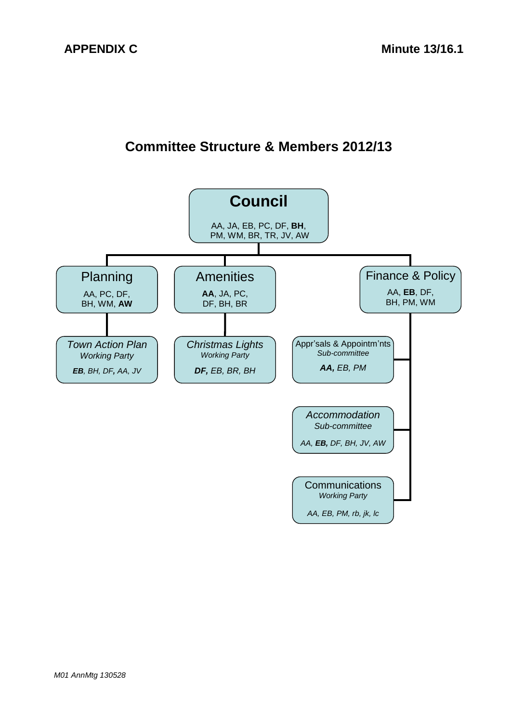# **Committee Structure & Members 2012/13**

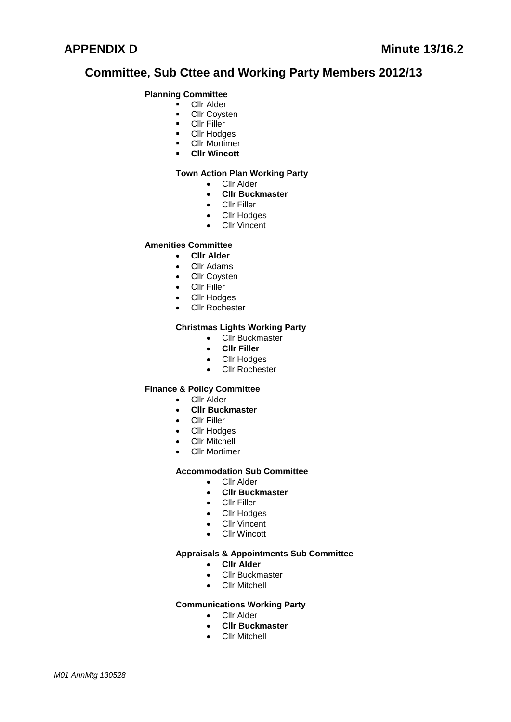## **Committee, Sub Cttee and Working Party Members 2012/13**

#### **Planning Committee**

- **Cllr Alder**
- **-** Cllr Coysten
- **Cllr Filler**
- **-** Cllr Hodges
- **-** Cllr Mortimer
- **Cllr Wincott**

#### **Town Action Plan Working Party**

- Cllr Alder
- **Cllr Buckmaster**
- Cllr Filler
- Cllr Hodges
- Cllr Vincent

#### **Amenities Committee**

- **Cllr Alder**
- Cllr Adams
- Cllr Coysten
- Cllr Filler
- Cllr Hodges
- Cllr Rochester

#### **Christmas Lights Working Party**

- Cllr Buckmaster
- **Cllr Filler**
- Cllr Hodges
- Cllr Rochester

#### **Finance & Policy Committee**

- Cllr Alder
- **Cllr Buckmaster**
- Cllr Filler
- Cllr Hodges
- Cllr Mitchell
- Cllr Mortimer

#### **Accommodation Sub Committee**

- Cllr Alder
- **Cllr Buckmaster**
- **•** Cllr Filler
- Cllr Hodges
- Cllr Vincent
- Cllr Wincott

#### **Appraisals & Appointments Sub Committee**

- **Cllr Alder**
- Cllr Buckmaster
- Cllr Mitchell

#### **Communications Working Party**

- Cllr Alder
- **Cllr Buckmaster**
- **•** Cllr Mitchell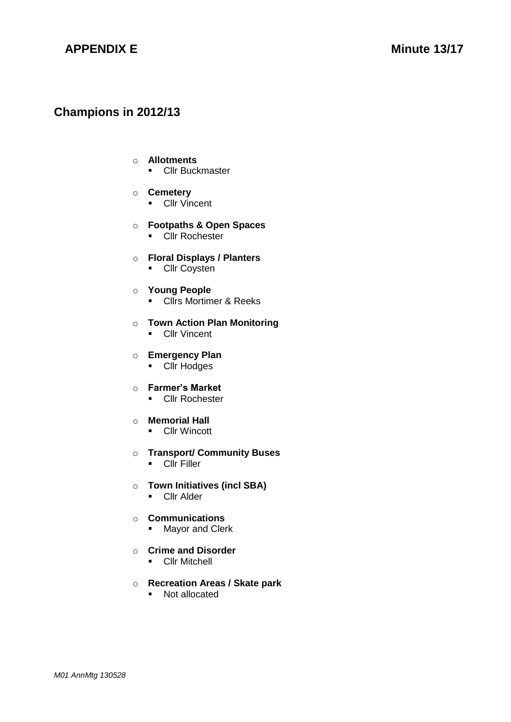## **APPENDIX E** Minute 13/17

## **Champions in 2012/13**

#### o **Allotments**

**-** Cllr Buckmaster

### o **Cemetery**

**Cllr Vincent** 

### o **Footpaths & Open Spaces**

**-** Cllr Rochester

#### o **Floral Displays / Planters**

**Cllr Coysten** 

#### o **Young People**

**EXECUTE:** Clirs Mortimer & Reeks

### o **Town Action Plan Monitoring**

**Cllr Vincent** 

### o **Emergency Plan**

**-** Cllr Hodges

### o **Farmer's Market**

**Cllr Rochester** 

#### o **Memorial Hall**

**-** Cllr Wincott

#### o **Transport/ Community Buses**

- **Cllr Filler**
- o **Town Initiatives (incl SBA)**
	- **Cllr Alder**

### o **Communications**

**Mayor and Clerk** 

### o **Crime and Disorder**

**Cllr Mitchell** 

### o **Recreation Areas / Skate park**

• Not allocated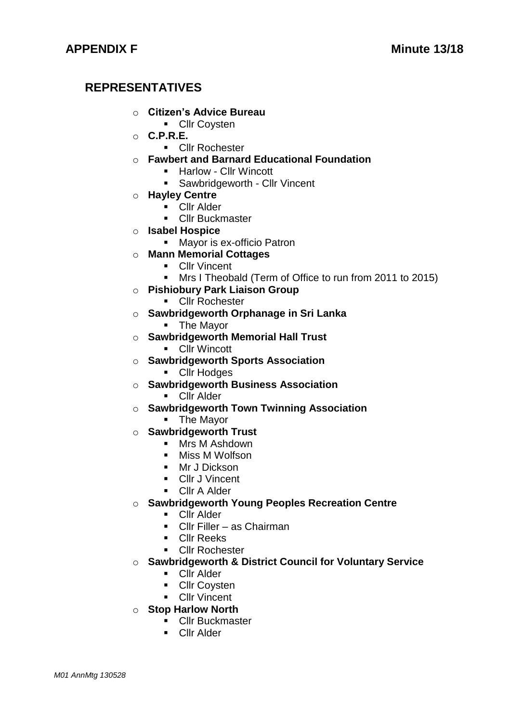# **REPRESENTATIVES**

- o **Citizen's Advice Bureau**
	- **Cllr Coysten**
- o **C.P.R.E.**
	- **Cllr Rochester**
- o **Fawbert and Barnard Educational Foundation** 
	- Harlow Cllr Wincott
	- **Sawbridgeworth Cllr Vincent**
- o **Hayley Centre**
	- **Cllr Alder**
	- **Cllr Buckmaster**
- o **Isabel Hospice**
	- Mayor is ex-officio Patron
- o **Mann Memorial Cottages**
	- **Cllr Vincent**
	- **Mrs I Theobald (Term of Office to run from 2011 to 2015)**
- o **Pishiobury Park Liaison Group**
	- **Cllr Rochester**
- o **Sawbridgeworth Orphanage in Sri Lanka**
	- **The Mayor**
- o **Sawbridgeworth Memorial Hall Trust** 
	- **Cllr** Wincott
- o **Sawbridgeworth Sports Association**
	- **Cllr Hodges**
- o **Sawbridgeworth Business Association** 
	- **Cllr Alder**
- o **Sawbridgeworth Town Twinning Association**
	- **The Mayor**
- o **Sawbridgeworth Trust** 
	- Mrs M Ashdown
	- Miss M Wolfson
	- Mr J Dickson
	- **Cllr** J Vincent
	- **Cllr A Alder**
- o **Sawbridgeworth Young Peoples Recreation Centre**
	- **Cllr Alder**
	- Cllr Filler as Chairman
	- **Cllr Reeks**
	- **Cllr Rochester**
- o **Sawbridgeworth & District Council for Voluntary Service**
	- **Cllr Alder**
	- **Cllr Covsten**
	- **Cllr Vincent**
- o **Stop Harlow North**
	- **-** Cllr Buckmaster
	- **Cllr Alder**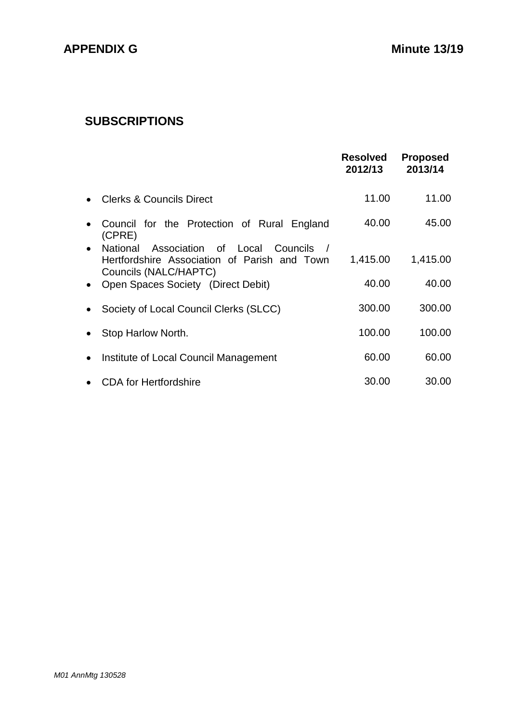# **SUBSCRIPTIONS**

|           |                                                                                                                      | <b>Resolved</b><br>2012/13 | <b>Proposed</b><br>2013/14 |
|-----------|----------------------------------------------------------------------------------------------------------------------|----------------------------|----------------------------|
| $\bullet$ | <b>Clerks &amp; Councils Direct</b>                                                                                  | 11.00                      | 11.00                      |
| $\bullet$ | Council for the Protection of Rural England<br>(CPRE)                                                                | 40.00                      | 45.00                      |
|           | • National<br>Association of Local Councils<br>Hertfordshire Association of Parish and Town<br>Councils (NALC/HAPTC) | 1,415.00                   | 1,415.00                   |
|           | • Open Spaces Society (Direct Debit)                                                                                 | 40.00                      | 40.00                      |
| $\bullet$ | Society of Local Council Clerks (SLCC)                                                                               | 300.00                     | 300.00                     |
| $\bullet$ | Stop Harlow North.                                                                                                   | 100.00                     | 100.00                     |
| $\bullet$ | Institute of Local Council Management                                                                                | 60.00                      | 60.00                      |
| $\bullet$ | <b>CDA</b> for Hertfordshire                                                                                         | 30.00                      | 30.00                      |